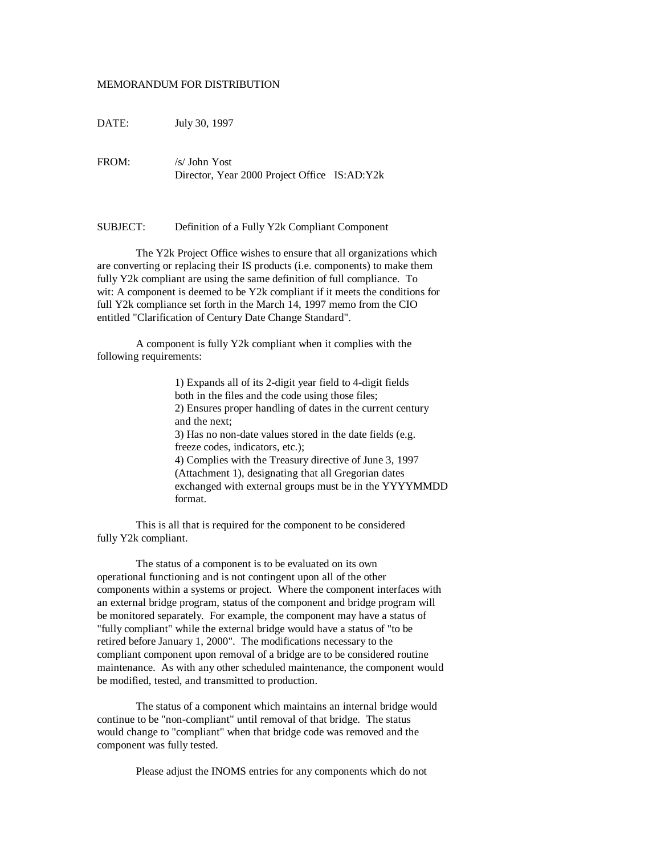## MEMORANDUM FOR DISTRIBUTION

DATE: July 30, 1997

FROM: /s/ John Yost Director, Year 2000 Project Office IS:AD:Y2k

SUBJECT: Definition of a Fully Y2k Compliant Component

The Y2k Project Office wishes to ensure that all organizations which are converting or replacing their IS products (i.e. components) to make them fully Y2k compliant are using the same definition of full compliance. To wit: A component is deemed to be Y2k compliant if it meets the conditions for full Y2k compliance set forth in the March 14, 1997 memo from the CIO entitled "Clarification of Century Date Change Standard".

A component is fully Y2k compliant when it complies with the following requirements:

> 1) Expands all of its 2-digit year field to 4-digit fields both in the files and the code using those files; 2) Ensures proper handling of dates in the current century and the next; 3) Has no non-date values stored in the date fields (e.g. freeze codes, indicators, etc.); 4) Complies with the Treasury directive of June 3, 1997 (Attachment 1), designating that all Gregorian dates exchanged with external groups must be in the YYYYMMDD format.

This is all that is required for the component to be considered fully Y2k compliant.

The status of a component is to be evaluated on its own operational functioning and is not contingent upon all of the other components within a systems or project. Where the component interfaces with an external bridge program, status of the component and bridge program will be monitored separately. For example, the component may have a status of "fully compliant" while the external bridge would have a status of "to be retired before January 1, 2000". The modifications necessary to the compliant component upon removal of a bridge are to be considered routine maintenance. As with any other scheduled maintenance, the component would be modified, tested, and transmitted to production.

The status of a component which maintains an internal bridge would continue to be "non-compliant" until removal of that bridge. The status would change to "compliant" when that bridge code was removed and the component was fully tested.

Please adjust the INOMS entries for any components which do not